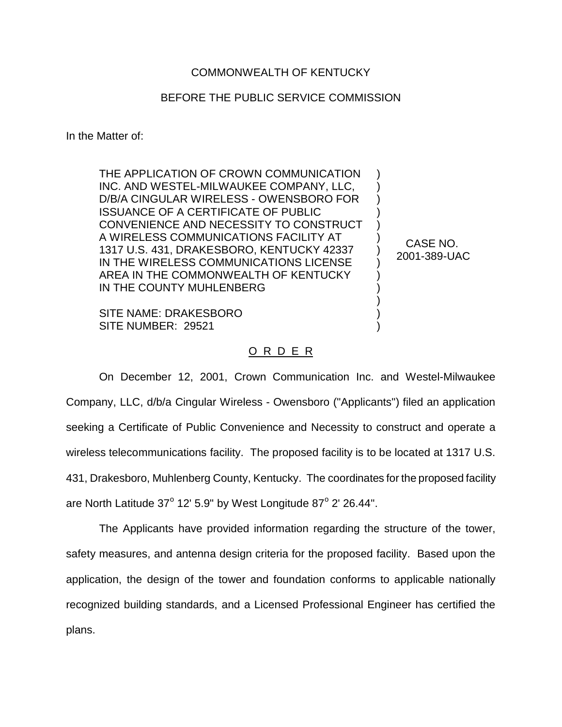## COMMONWEALTH OF KENTUCKY

## BEFORE THE PUBLIC SERVICE COMMISSION

) ) ) ) ) ) ) ) ) ) ) ) )

CASE NO. 2001-389-UAC

In the Matter of:

THE APPLICATION OF CROWN COMMUNICATION INC. AND WESTEL-MILWAUKEE COMPANY, LLC, D/B/A CINGULAR WIRELESS - OWENSBORO FOR ISSUANCE OF A CERTIFICATE OF PUBLIC CONVENIENCE AND NECESSITY TO CONSTRUCT A WIRELESS COMMUNICATIONS FACILITY AT 1317 U.S. 431, DRAKESBORO, KENTUCKY 42337 IN THE WIRELESS COMMUNICATIONS LICENSE AREA IN THE COMMONWEALTH OF KENTUCKY IN THE COUNTY MUHLENBERG

SITE NAME: DRAKESBORO SITE NUMBER: 29521

## <u>O R D E R</u>

On December 12, 2001, Crown Communication Inc. and Westel-Milwaukee Company, LLC, d/b/a Cingular Wireless - Owensboro ("Applicants") filed an application seeking a Certificate of Public Convenience and Necessity to construct and operate a wireless telecommunications facility. The proposed facility is to be located at 1317 U.S. 431, Drakesboro, Muhlenberg County, Kentucky. The coordinates for the proposed facility are North Latitude  $37^{\circ}$  12' 5.9" by West Longitude  $87^{\circ}$  2' 26.44".

The Applicants have provided information regarding the structure of the tower, safety measures, and antenna design criteria for the proposed facility. Based upon the application, the design of the tower and foundation conforms to applicable nationally recognized building standards, and a Licensed Professional Engineer has certified the plans.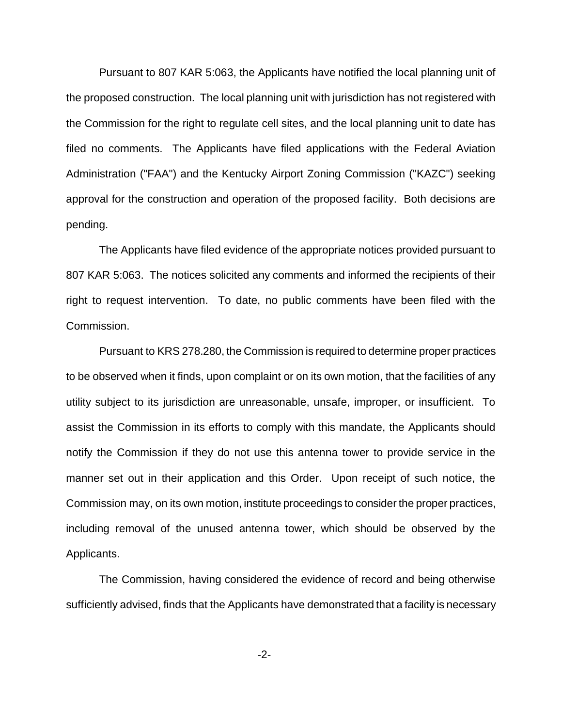Pursuant to 807 KAR 5:063, the Applicants have notified the local planning unit of the proposed construction. The local planning unit with jurisdiction has not registered with the Commission for the right to regulate cell sites, and the local planning unit to date has filed no comments. The Applicants have filed applications with the Federal Aviation Administration ("FAA") and the Kentucky Airport Zoning Commission ("KAZC") seeking approval for the construction and operation of the proposed facility. Both decisions are pending.

The Applicants have filed evidence of the appropriate notices provided pursuant to 807 KAR 5:063. The notices solicited any comments and informed the recipients of their right to request intervention. To date, no public comments have been filed with the Commission.

Pursuant to KRS 278.280, the Commission is required to determine proper practices to be observed when it finds, upon complaint or on its own motion, that the facilities of any utility subject to its jurisdiction are unreasonable, unsafe, improper, or insufficient. To assist the Commission in its efforts to comply with this mandate, the Applicants should notify the Commission if they do not use this antenna tower to provide service in the manner set out in their application and this Order. Upon receipt of such notice, the Commission may, on its own motion, institute proceedings to consider the proper practices, including removal of the unused antenna tower, which should be observed by the Applicants.

The Commission, having considered the evidence of record and being otherwise sufficiently advised, finds that the Applicants have demonstrated that a facility is necessary

-2-